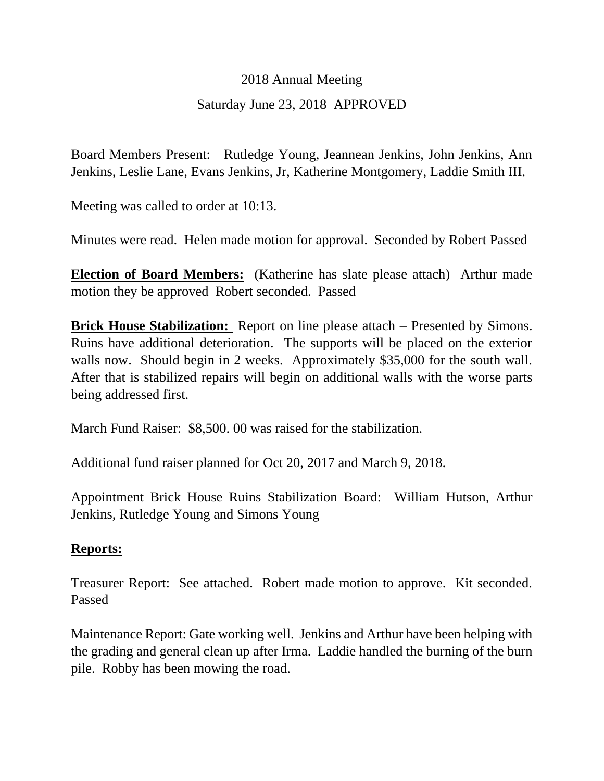## 2018 Annual Meeting

## Saturday June 23, 2018 APPROVED

Board Members Present: Rutledge Young, Jeannean Jenkins, John Jenkins, Ann Jenkins, Leslie Lane, Evans Jenkins, Jr, Katherine Montgomery, Laddie Smith III.

Meeting was called to order at 10:13.

Minutes were read. Helen made motion for approval. Seconded by Robert Passed

**Election of Board Members:** (Katherine has slate please attach) Arthur made motion they be approved Robert seconded. Passed

**Brick House Stabilization:** Report on line please attach – Presented by Simons. Ruins have additional deterioration. The supports will be placed on the exterior walls now. Should begin in 2 weeks. Approximately \$35,000 for the south wall. After that is stabilized repairs will begin on additional walls with the worse parts being addressed first.

March Fund Raiser: \$8,500. 00 was raised for the stabilization.

Additional fund raiser planned for Oct 20, 2017 and March 9, 2018.

Appointment Brick House Ruins Stabilization Board: William Hutson, Arthur Jenkins, Rutledge Young and Simons Young

## **Reports:**

Treasurer Report: See attached. Robert made motion to approve. Kit seconded. Passed

Maintenance Report: Gate working well. Jenkins and Arthur have been helping with the grading and general clean up after Irma. Laddie handled the burning of the burn pile. Robby has been mowing the road.